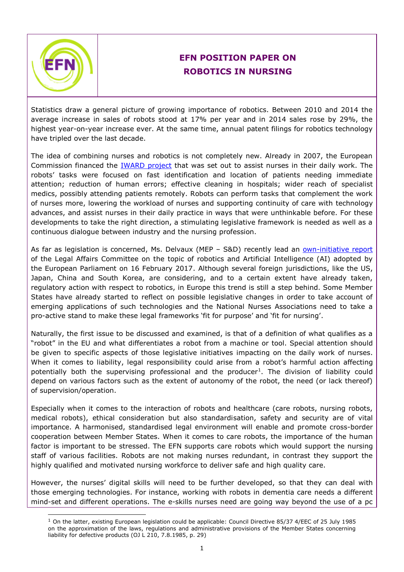

-

## **EFN POSITION PAPER ON ROBOTICS IN NURSING**

Statistics draw a general picture of growing importance of robotics. Between 2010 and 2014 the average increase in sales of robots stood at 17% per year and in 2014 sales rose by 29%, the highest year-on-year increase ever. At the same time, annual patent filings for robotics technology have tripled over the last decade.

The idea of combining nurses and robotics is not completely new. Already in 2007, the European Commission financed the [IWARD project](http://cordis.europa.eu/project/rcn/80484_en.html) that was set out to assist nurses in their daily work. The robots' tasks were focused on fast identification and location of patients needing immediate attention; reduction of human errors; effective cleaning in hospitals; wider reach of specialist medics, possibly attending patients remotely. Robots can perform tasks that complement the work of nurses more, lowering the workload of nurses and supporting continuity of care with technology advances, and assist nurses in their daily practice in ways that were unthinkable before. For these developments to take the right direction, a stimulating legislative framework is needed as well as a continuous dialogue between industry and the nursing profession.

As far as legislation is concerned, Ms. Delvaux (MEP – S&D) recently lead an [own-initiative report](http://www.europarl.europa.eu/sides/getDoc.do?pubRef=-//EP//NONSGML+TA+P8-TA-2017-0051+0+DOC+PDF+V0//EN) of the Legal Affairs Committee on the topic of robotics and Artificial Intelligence (AI) adopted by the European Parliament on 16 February 2017. Although several foreign jurisdictions, like the US, Japan, China and South Korea, are considering, and to a certain extent have already taken, regulatory action with respect to robotics, in Europe this trend is still a step behind. Some Member States have already started to reflect on possible legislative changes in order to take account of emerging applications of such technologies and the National Nurses Associations need to take a pro-active stand to make these legal frameworks 'fit for purpose' and 'fit for nursing'.

Naturally, the first issue to be discussed and examined, is that of a definition of what qualifies as a "robot" in the EU and what differentiates a robot from a machine or tool. Special attention should be given to specific aspects of those legislative initiatives impacting on the daily work of nurses. When it comes to liability, legal responsibility could arise from a robot's harmful action affecting potentially both the supervising professional and the producer<sup>1</sup>. The division of liability could depend on various factors such as the extent of autonomy of the robot, the need (or lack thereof) of supervision/operation.

Especially when it comes to the interaction of robots and healthcare (care robots, nursing robots, medical robots), ethical consideration but also standardisation, safety and security are of vital importance. A harmonised, standardised legal environment will enable and promote cross-border cooperation between Member States. When it comes to care robots, the importance of the human factor is important to be stressed. The EFN supports care robots which would support the nursing staff of various facilities. Robots are not making nurses redundant, in contrast they support the highly qualified and motivated nursing workforce to deliver safe and high quality care.

However, the nurses' digital skills will need to be further developed, so that they can deal with those emerging technologies. For instance, working with robots in dementia care needs a different mind-set and different operations. The e-skills nurses need are going way beyond the use of a pc

<sup>1</sup> On the latter, existing European legislation could be applicable: Council Directive 85/37 4/EEC of 25 July 1985 on the approximation of the laws, regulations and administrative provisions of the Member States concerning liability for defective products (OJ L 210, 7.8.1985, p. 29)